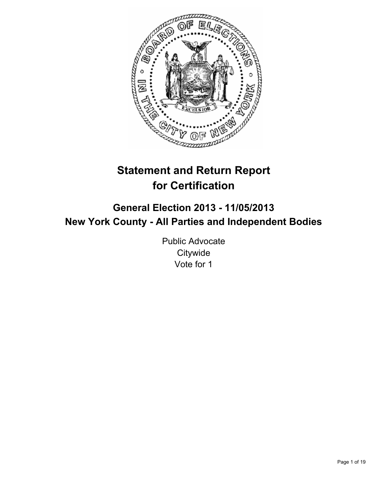

# **Statement and Return Report for Certification**

# **General Election 2013 - 11/05/2013 New York County - All Parties and Independent Bodies**

Public Advocate **Citywide** Vote for 1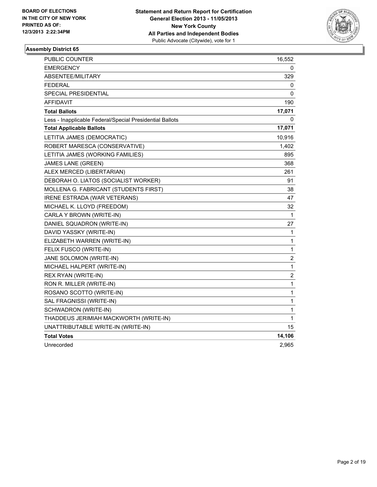

| PUBLIC COUNTER                                           | 16,552 |
|----------------------------------------------------------|--------|
| <b>EMERGENCY</b>                                         | 0      |
| ABSENTEE/MILITARY                                        | 329    |
| <b>FEDERAL</b>                                           | 0      |
| SPECIAL PRESIDENTIAL                                     | 0      |
| AFFIDAVIT                                                | 190    |
| <b>Total Ballots</b>                                     | 17,071 |
| Less - Inapplicable Federal/Special Presidential Ballots | 0      |
| <b>Total Applicable Ballots</b>                          | 17,071 |
| LETITIA JAMES (DEMOCRATIC)                               | 10,916 |
| ROBERT MARESCA (CONSERVATIVE)                            | 1,402  |
| LETITIA JAMES (WORKING FAMILIES)                         | 895    |
| <b>JAMES LANE (GREEN)</b>                                | 368    |
| ALEX MERCED (LIBERTARIAN)                                | 261    |
| DEBORAH O. LIATOS (SOCIALIST WORKER)                     | 91     |
| MOLLENA G. FABRICANT (STUDENTS FIRST)                    | 38     |
| <b>IRENE ESTRADA (WAR VETERANS)</b>                      | 47     |
| MICHAEL K. LLOYD (FREEDOM)                               | 32     |
| CARLA Y BROWN (WRITE-IN)                                 | 1      |
| DANIEL SQUADRON (WRITE-IN)                               | 27     |
| DAVID YASSKY (WRITE-IN)                                  | 1      |
| ELIZABETH WARREN (WRITE-IN)                              | 1      |
| FELIX FUSCO (WRITE-IN)                                   | 1      |
| JANE SOLOMON (WRITE-IN)                                  | 2      |
| MICHAEL HALPERT (WRITE-IN)                               | 1      |
| REX RYAN (WRITE-IN)                                      | 2      |
| RON R. MILLER (WRITE-IN)                                 | 1      |
| ROSANO SCOTTO (WRITE-IN)                                 | 1      |
| SAL FRAGNISSI (WRITE-IN)                                 | 1      |
| SCHWADRON (WRITE-IN)                                     | 1      |
| THADDEUS JERIMIAH MACKWORTH (WRITE-IN)                   | 1      |
| UNATTRIBUTABLE WRITE-IN (WRITE-IN)                       | 15     |
| <b>Total Votes</b>                                       | 14,106 |
| Unrecorded                                               | 2,965  |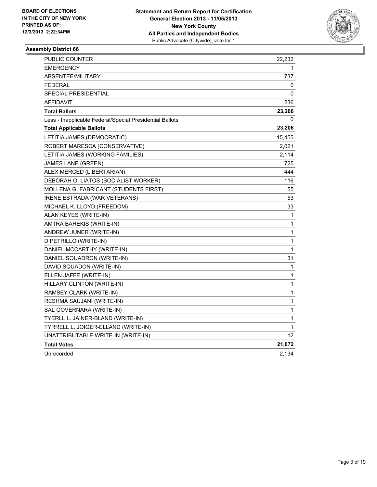

| <b>PUBLIC COUNTER</b>                                    | 22,232 |
|----------------------------------------------------------|--------|
| <b>EMERGENCY</b>                                         | 1      |
| <b>ABSENTEE/MILITARY</b>                                 | 737    |
| <b>FEDERAL</b>                                           | 0      |
| <b>SPECIAL PRESIDENTIAL</b>                              | 0      |
| <b>AFFIDAVIT</b>                                         | 236    |
| <b>Total Ballots</b>                                     | 23,206 |
| Less - Inapplicable Federal/Special Presidential Ballots | 0      |
| <b>Total Applicable Ballots</b>                          | 23,206 |
| LETITIA JAMES (DEMOCRATIC)                               | 15,455 |
| ROBERT MARESCA (CONSERVATIVE)                            | 2,021  |
| LETITIA JAMES (WORKING FAMILIES)                         | 2,114  |
| JAMES LANE (GREEN)                                       | 725    |
| ALEX MERCED (LIBERTARIAN)                                | 444    |
| DEBORAH O. LIATOS (SOCIALIST WORKER)                     | 116    |
| MOLLENA G. FABRICANT (STUDENTS FIRST)                    | 55     |
| IRENE ESTRADA (WAR VETERANS)                             | 53     |
| MICHAEL K. LLOYD (FREEDOM)                               | 33     |
| ALAN KEYES (WRITE-IN)                                    | 1      |
| AMTRA BAREKIS (WRITE-IN)                                 | 1      |
| ANDREW JUNER (WRITE-IN)                                  | 1      |
| D PETRILLO (WRITE-IN)                                    | 1      |
| DANIEL MCCARTHY (WRITE-IN)                               | 1      |
| DANIEL SQUADRON (WRITE-IN)                               | 31     |
| DAVID SQUADON (WRITE-IN)                                 | 1      |
| ELLEN JAFFE (WRITE-IN)                                   | 1      |
| HILLARY CLINTON (WRITE-IN)                               | 1      |
| RAMSEY CLARK (WRITE-IN)                                  | 1      |
| RESHMA SAUJANI (WRITE-IN)                                | 1      |
| SAL GOVERNARA (WRITE-IN)                                 | 1      |
| TYERLL L. JAINER-BLAND (WRITE-IN)                        | 1      |
| TYRRELL L. JOIGER-ELLAND (WRITE-IN)                      | 1      |
| UNATTRIBUTABLE WRITE-IN (WRITE-IN)                       | 12     |
| <b>Total Votes</b>                                       | 21,072 |
| Unrecorded                                               | 2,134  |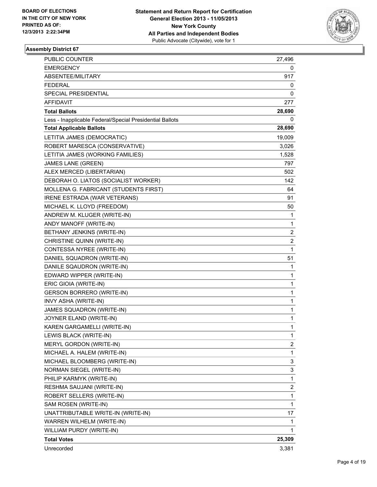

| <b>PUBLIC COUNTER</b>                                    | 27,496                  |
|----------------------------------------------------------|-------------------------|
| <b>EMERGENCY</b>                                         | 0                       |
| ABSENTEE/MILITARY                                        | 917                     |
| <b>FEDERAL</b>                                           | 0                       |
| SPECIAL PRESIDENTIAL                                     | 0                       |
| <b>AFFIDAVIT</b>                                         | 277                     |
| <b>Total Ballots</b>                                     | 28,690                  |
| Less - Inapplicable Federal/Special Presidential Ballots | 0                       |
| <b>Total Applicable Ballots</b>                          | 28,690                  |
| LETITIA JAMES (DEMOCRATIC)                               | 19,009                  |
| ROBERT MARESCA (CONSERVATIVE)                            | 3,026                   |
| LETITIA JAMES (WORKING FAMILIES)                         | 1,528                   |
| <b>JAMES LANE (GREEN)</b>                                | 797                     |
| ALEX MERCED (LIBERTARIAN)                                | 502                     |
| DEBORAH O. LIATOS (SOCIALIST WORKER)                     | 142                     |
| MOLLENA G. FABRICANT (STUDENTS FIRST)                    | 64                      |
| IRENE ESTRADA (WAR VETERANS)                             | 91                      |
| MICHAEL K. LLOYD (FREEDOM)                               | 50                      |
| ANDREW M. KLUGER (WRITE-IN)                              | 1                       |
| ANDY MANOFF (WRITE-IN)                                   | 1                       |
| BETHANY JENKINS (WRITE-IN)                               | $\overline{\mathbf{c}}$ |
| CHRISTINE QUINN (WRITE-IN)                               | 2                       |
| CONTESSA NYREE (WRITE-IN)                                | 1                       |
| DANIEL SQUADRON (WRITE-IN)                               | 51                      |
| DANILE SQAUDRON (WRITE-IN)                               | 1                       |
| EDWARD WIPPER (WRITE-IN)                                 | 1                       |
| ERIC GIOIA (WRITE-IN)                                    | 1                       |
| GERSON BORRERO (WRITE-IN)                                | 1                       |
| INVY ASHA (WRITE-IN)                                     | 1                       |
| JAMES SQUADRON (WRITE-IN)                                | 1                       |
| JOYNER ELAND (WRITE-IN)                                  | 1                       |
| KAREN GARGAMELLI (WRITE-IN)                              | $\mathbf{1}$            |
| LEWIS BLACK (WRITE-IN)                                   | 1                       |
| MERYL GORDON (WRITE-IN)                                  | 2                       |
| MICHAEL A. HALEM (WRITE-IN)                              | $\mathbf{1}$            |
| MICHAEL BLOOMBERG (WRITE-IN)                             | 3                       |
| NORMAN SIEGEL (WRITE-IN)                                 | 3                       |
| PHILIP KARMYK (WRITE-IN)                                 | $\mathbf{1}$            |
| RESHMA SAUJANI (WRITE-IN)                                | 2                       |
| ROBERT SELLERS (WRITE-IN)                                | 1                       |
| SAM ROSEN (WRITE-IN)                                     | $\mathbf{1}$            |
| UNATTRIBUTABLE WRITE-IN (WRITE-IN)                       | 17                      |
| WARREN WILHELM (WRITE-IN)                                | 1                       |
| WILLIAM PURDY (WRITE-IN)                                 | 1                       |
| <b>Total Votes</b>                                       | 25,309                  |
| Unrecorded                                               | 3,381                   |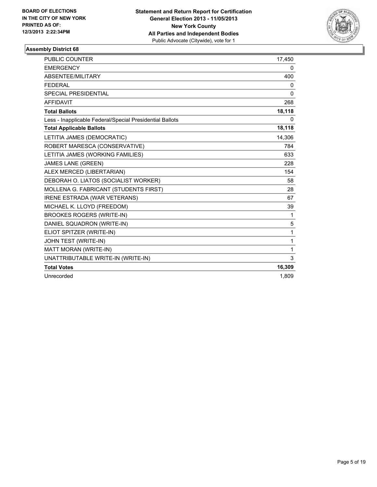

| <b>PUBLIC COUNTER</b>                                    | 17,450       |
|----------------------------------------------------------|--------------|
| <b>EMERGENCY</b>                                         | 0            |
| ABSENTEE/MILITARY                                        | 400          |
| <b>FEDERAL</b>                                           | 0            |
| <b>SPECIAL PRESIDENTIAL</b>                              | $\mathbf{0}$ |
| <b>AFFIDAVIT</b>                                         | 268          |
| <b>Total Ballots</b>                                     | 18,118       |
| Less - Inapplicable Federal/Special Presidential Ballots | 0            |
| <b>Total Applicable Ballots</b>                          | 18,118       |
| LETITIA JAMES (DEMOCRATIC)                               | 14,306       |
| ROBERT MARESCA (CONSERVATIVE)                            | 784          |
| LETITIA JAMES (WORKING FAMILIES)                         | 633          |
| <b>JAMES LANE (GREEN)</b>                                | 228          |
| ALEX MERCED (LIBERTARIAN)                                | 154          |
| DEBORAH O. LIATOS (SOCIALIST WORKER)                     | 58           |
| MOLLENA G. FABRICANT (STUDENTS FIRST)                    | 28           |
| IRENE ESTRADA (WAR VETERANS)                             | 67           |
| MICHAEL K. LLOYD (FREEDOM)                               | 39           |
| <b>BROOKES ROGERS (WRITE-IN)</b>                         | 1            |
| DANIEL SQUADRON (WRITE-IN)                               | 5            |
| ELIOT SPITZER (WRITE-IN)                                 | 1            |
| JOHN TEST (WRITE-IN)                                     | 1            |
| MATT MORAN (WRITE-IN)                                    | 1            |
| UNATTRIBUTABLE WRITE-IN (WRITE-IN)                       | 3            |
| <b>Total Votes</b>                                       | 16,309       |
| Unrecorded                                               | 1,809        |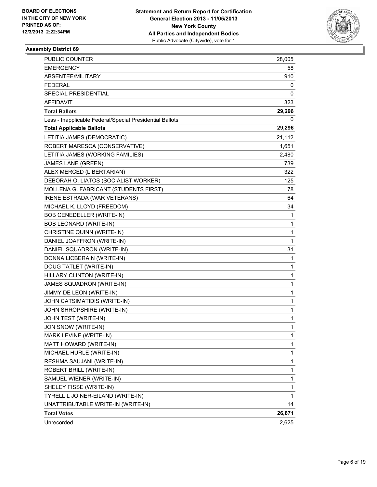

| <b>PUBLIC COUNTER</b>                                    | 28,005       |
|----------------------------------------------------------|--------------|
| EMERGENCY                                                | 58           |
| ABSENTEE/MILITARY                                        | 910          |
| <b>FEDERAL</b>                                           | 0            |
| SPECIAL PRESIDENTIAL                                     | 0            |
| <b>AFFIDAVIT</b>                                         | 323          |
| <b>Total Ballots</b>                                     | 29,296       |
| Less - Inapplicable Federal/Special Presidential Ballots | 0            |
| <b>Total Applicable Ballots</b>                          | 29,296       |
| LETITIA JAMES (DEMOCRATIC)                               | 21,112       |
| ROBERT MARESCA (CONSERVATIVE)                            | 1,651        |
| LETITIA JAMES (WORKING FAMILIES)                         | 2,480        |
| <b>JAMES LANE (GREEN)</b>                                | 739          |
| ALEX MERCED (LIBERTARIAN)                                | 322          |
| DEBORAH O. LIATOS (SOCIALIST WORKER)                     | 125          |
| MOLLENA G. FABRICANT (STUDENTS FIRST)                    | 78           |
| IRENE ESTRADA (WAR VETERANS)                             | 64           |
| MICHAEL K. LLOYD (FREEDOM)                               | 34           |
| BOB CENEDELLER (WRITE-IN)                                | 1            |
| <b>BOB LEONARD (WRITE-IN)</b>                            | 1            |
| CHRISTINE QUINN (WRITE-IN)                               | 1            |
| DANIEL JQAFFRON (WRITE-IN)                               | 1            |
| DANIEL SQUADRON (WRITE-IN)                               | 31           |
| DONNA LICBERAIN (WRITE-IN)                               | 1            |
| DOUG TATLET (WRITE-IN)                                   | 1            |
| HILLARY CLINTON (WRITE-IN)                               | 1            |
| JAMES SQUADRON (WRITE-IN)                                | 1            |
| JIMMY DE LEON (WRITE-IN)                                 | 1            |
| JOHN CATSIMATIDIS (WRITE-IN)                             | 1            |
| JOHN SHROPSHIRE (WRITE-IN)                               | 1            |
| JOHN TEST (WRITE-IN)                                     | 1            |
| JON SNOW (WRITE-IN)                                      | $\mathbf{1}$ |
| MARK LEVINE (WRITE-IN)                                   | 1            |
| MATT HOWARD (WRITE-IN)                                   | 1            |
| MICHAEL HURLE (WRITE-IN)                                 | 1            |
| RESHMA SAUJANI (WRITE-IN)                                | 1            |
| ROBERT BRILL (WRITE-IN)                                  | 1            |
| SAMUEL WIENER (WRITE-IN)                                 | 1            |
| SHELEY FISSE (WRITE-IN)                                  | 1            |
| TYRELL L JOINER-EILAND (WRITE-IN)                        | 1            |
| UNATTRIBUTABLE WRITE-IN (WRITE-IN)                       | 14           |
| <b>Total Votes</b>                                       | 26,671       |
| Unrecorded                                               | 2,625        |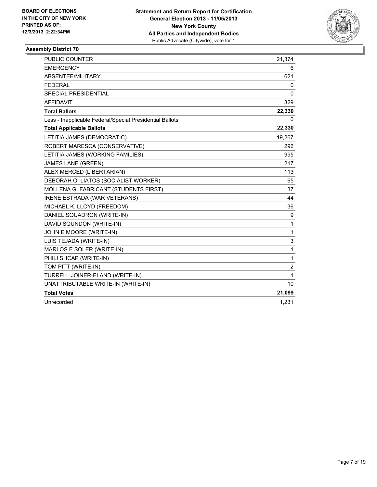

| <b>PUBLIC COUNTER</b>                                    | 21,374       |
|----------------------------------------------------------|--------------|
| <b>EMERGENCY</b>                                         | 6            |
| ABSENTEE/MILITARY                                        | 621          |
| <b>FEDERAL</b>                                           | 0            |
| <b>SPECIAL PRESIDENTIAL</b>                              | 0            |
| <b>AFFIDAVIT</b>                                         | 329          |
| <b>Total Ballots</b>                                     | 22,330       |
| Less - Inapplicable Federal/Special Presidential Ballots | 0            |
| <b>Total Applicable Ballots</b>                          | 22,330       |
| LETITIA JAMES (DEMOCRATIC)                               | 19,267       |
| ROBERT MARESCA (CONSERVATIVE)                            | 296          |
| LETITIA JAMES (WORKING FAMILIES)                         | 995          |
| <b>JAMES LANE (GREEN)</b>                                | 217          |
| ALEX MERCED (LIBERTARIAN)                                | 113          |
| DEBORAH O. LIATOS (SOCIALIST WORKER)                     | 65           |
| MOLLENA G. FABRICANT (STUDENTS FIRST)                    | 37           |
| IRENE ESTRADA (WAR VETERANS)                             | 44           |
| MICHAEL K. LLOYD (FREEDOM)                               | 36           |
| DANIEL SQUADRON (WRITE-IN)                               | 9            |
| DAVID SQUNDON (WRITE-IN)                                 | 1            |
| JOHN E MOORE (WRITE-IN)                                  | 1            |
| LUIS TEJADA (WRITE-IN)                                   | 3            |
| MARLOS E SOLER (WRITE-IN)                                | $\mathbf{1}$ |
| PHILI SHCAP (WRITE-IN)                                   | 1            |
| TOM PITT (WRITE-IN)                                      | 2            |
| TURRELL JOINER-ELAND (WRITE-IN)                          | 1            |
| UNATTRIBUTABLE WRITE-IN (WRITE-IN)                       | 10           |
| <b>Total Votes</b>                                       | 21,099       |
| Unrecorded                                               | 1.231        |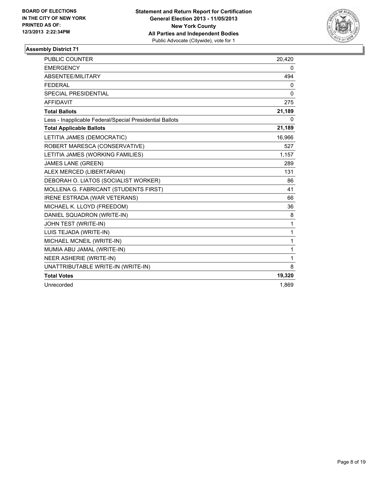

| <b>PUBLIC COUNTER</b>                                    | 20,420       |
|----------------------------------------------------------|--------------|
| <b>EMERGENCY</b>                                         | 0            |
| ABSENTEE/MILITARY                                        | 494          |
| <b>FEDERAL</b>                                           | 0            |
| <b>SPECIAL PRESIDENTIAL</b>                              | $\Omega$     |
| <b>AFFIDAVIT</b>                                         | 275          |
| <b>Total Ballots</b>                                     | 21,189       |
| Less - Inapplicable Federal/Special Presidential Ballots | 0            |
| <b>Total Applicable Ballots</b>                          | 21,189       |
| LETITIA JAMES (DEMOCRATIC)                               | 16,966       |
| ROBERT MARESCA (CONSERVATIVE)                            | 527          |
| LETITIA JAMES (WORKING FAMILIES)                         | 1,157        |
| <b>JAMES LANE (GREEN)</b>                                | 289          |
| ALEX MERCED (LIBERTARIAN)                                | 131          |
| DEBORAH O. LIATOS (SOCIALIST WORKER)                     | 86           |
| MOLLENA G. FABRICANT (STUDENTS FIRST)                    | 41           |
| IRENE ESTRADA (WAR VETERANS)                             | 66           |
| MICHAEL K. LLOYD (FREEDOM)                               | 36           |
| DANIEL SQUADRON (WRITE-IN)                               | 8            |
| JOHN TEST (WRITE-IN)                                     | $\mathbf{1}$ |
| LUIS TEJADA (WRITE-IN)                                   | 1            |
| MICHAEL MCNEIL (WRITE-IN)                                | $\mathbf{1}$ |
| MUMIA ABU JAMAL (WRITE-IN)                               | 1            |
| NEER ASHERIE (WRITE-IN)                                  | 1            |
| UNATTRIBUTABLE WRITE-IN (WRITE-IN)                       | 8            |
| <b>Total Votes</b>                                       | 19,320       |
| Unrecorded                                               | 1.869        |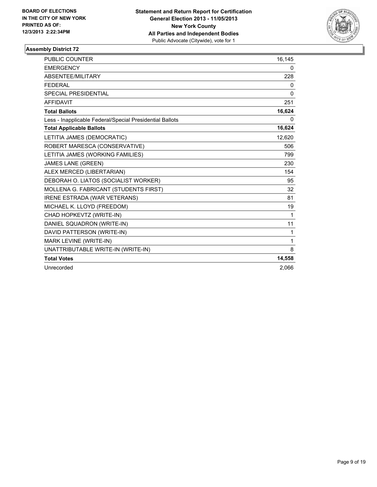

| PUBLIC COUNTER                                           | 16,145 |
|----------------------------------------------------------|--------|
| <b>EMERGENCY</b>                                         | 0      |
| ABSENTEE/MILITARY                                        | 228    |
| <b>FEDERAL</b>                                           | 0      |
| <b>SPECIAL PRESIDENTIAL</b>                              | 0      |
| <b>AFFIDAVIT</b>                                         | 251    |
| <b>Total Ballots</b>                                     | 16,624 |
| Less - Inapplicable Federal/Special Presidential Ballots | 0      |
| <b>Total Applicable Ballots</b>                          | 16,624 |
| LETITIA JAMES (DEMOCRATIC)                               | 12,620 |
| ROBERT MARESCA (CONSERVATIVE)                            | 506    |
| LETITIA JAMES (WORKING FAMILIES)                         | 799    |
| <b>JAMES LANE (GREEN)</b>                                | 230    |
| ALEX MERCED (LIBERTARIAN)                                | 154    |
| DEBORAH O. LIATOS (SOCIALIST WORKER)                     | 95     |
| MOLLENA G. FABRICANT (STUDENTS FIRST)                    | 32     |
| <b>IRENE ESTRADA (WAR VETERANS)</b>                      | 81     |
| MICHAEL K. LLOYD (FREEDOM)                               | 19     |
| CHAD HOPKEVTZ (WRITE-IN)                                 | 1      |
| DANIEL SQUADRON (WRITE-IN)                               | 11     |
| DAVID PATTERSON (WRITE-IN)                               | 1      |
| MARK LEVINE (WRITE-IN)                                   | 1      |
| UNATTRIBUTABLE WRITE-IN (WRITE-IN)                       | 8      |
| <b>Total Votes</b>                                       | 14,558 |
| Unrecorded                                               | 2.066  |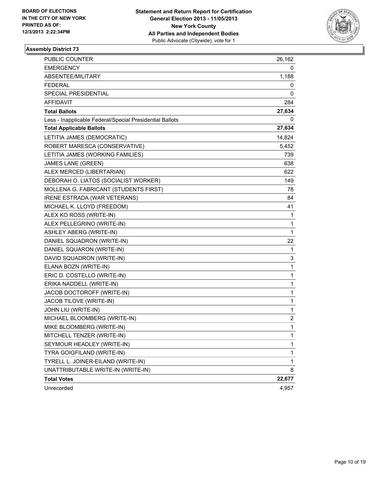

| PUBLIC COUNTER                                           | 26,162      |
|----------------------------------------------------------|-------------|
| <b>EMERGENCY</b>                                         | 0           |
| ABSENTEE/MILITARY                                        | 1,188       |
| <b>FEDERAL</b>                                           | 0           |
| SPECIAL PRESIDENTIAL                                     | 0           |
| AFFIDAVIT                                                | 284         |
| <b>Total Ballots</b>                                     | 27,634      |
| Less - Inapplicable Federal/Special Presidential Ballots | 0           |
| <b>Total Applicable Ballots</b>                          | 27,634      |
| LETITIA JAMES (DEMOCRATIC)                               | 14,824      |
| ROBERT MARESCA (CONSERVATIVE)                            | 5,452       |
| LETITIA JAMES (WORKING FAMILIES)                         | 739         |
| <b>JAMES LANE (GREEN)</b>                                | 638         |
| ALEX MERCED (LIBERTARIAN)                                | 622         |
| DEBORAH O. LIATOS (SOCIALIST WORKER)                     | 149         |
| MOLLENA G. FABRICANT (STUDENTS FIRST)                    | 78          |
| IRENE ESTRADA (WAR VETERANS)                             | 84          |
| MICHAEL K. LLOYD (FREEDOM)                               | 41          |
| ALEX KO ROSS (WRITE-IN)                                  | 1           |
| ALEX PELLEGRINO (WRITE-IN)                               | 1           |
| <b>ASHLEY ABERG (WRITE-IN)</b>                           | 1           |
| DANIEL SQUADRON (WRITE-IN)                               | 22          |
| DANIEL SQUARON (WRITE-IN)                                | 1           |
| DAVID SQUADRON (WRITE-IN)                                | 3           |
| ELANA BOZN (WRITE-IN)                                    | 1           |
| ERIC D. COSTELLO (WRITE-IN)                              | 1           |
| ERIKA NADDELL (WRITE-IN)                                 | 1           |
| JACOB DOCTOROFF (WRITE-IN)                               | 1           |
| JACOB TILOVE (WRITE-IN)                                  | 1           |
| JOHN LIU (WRITE-IN)                                      | $\mathbf 1$ |
| MICHAEL BLOOMBERG (WRITE-IN)                             | 2           |
| MIKE BLOOMBERG (WRITE-IN)                                | 1           |
| MITCHELL TENZER (WRITE-IN)                               | 1           |
| SEYMOUR HEADLEY (WRITE-IN)                               | 1           |
| TYRA GOIGFILAND (WRITE-IN)                               | 1           |
| TYRELL L. JOINER-EILAND (WRITE-IN)                       | 1           |
| UNATTRIBUTABLE WRITE-IN (WRITE-IN)                       | 8           |
| <b>Total Votes</b>                                       | 22,677      |
| Unrecorded                                               | 4,957       |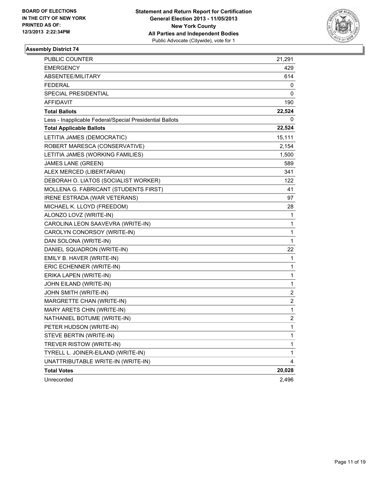

| PUBLIC COUNTER                                           | 21,291       |
|----------------------------------------------------------|--------------|
| <b>EMERGENCY</b>                                         | 429          |
| ABSENTEE/MILITARY                                        | 614          |
| <b>FEDERAL</b>                                           | 0            |
| SPECIAL PRESIDENTIAL                                     | 0            |
| AFFIDAVIT                                                | 190          |
| <b>Total Ballots</b>                                     | 22,524       |
| Less - Inapplicable Federal/Special Presidential Ballots | 0            |
| <b>Total Applicable Ballots</b>                          | 22,524       |
| LETITIA JAMES (DEMOCRATIC)                               | 15,111       |
| ROBERT MARESCA (CONSERVATIVE)                            | 2,154        |
| LETITIA JAMES (WORKING FAMILIES)                         | 1,500        |
| <b>JAMES LANE (GREEN)</b>                                | 589          |
| ALEX MERCED (LIBERTARIAN)                                | 341          |
| DEBORAH O. LIATOS (SOCIALIST WORKER)                     | 122          |
| MOLLENA G. FABRICANT (STUDENTS FIRST)                    | 41           |
| IRENE ESTRADA (WAR VETERANS)                             | 97           |
| MICHAEL K. LLOYD (FREEDOM)                               | 28           |
| ALONZO LOVZ (WRITE-IN)                                   | 1            |
| CAROLINA LEON SAAVEVRA (WRITE-IN)                        | 1            |
| CAROLYN CONORSOY (WRITE-IN)                              | 1            |
| DAN SOLONA (WRITE-IN)                                    | 1            |
| DANIEL SQUADRON (WRITE-IN)                               | 22           |
| EMILY B. HAVER (WRITE-IN)                                | 1            |
| ERIC ECHENNER (WRITE-IN)                                 | 1            |
| ERIKA LAPEN (WRITE-IN)                                   | 1            |
| JOHN EILAND (WRITE-IN)                                   | 1            |
| JOHN SMITH (WRITE-IN)                                    | 2            |
| MARGRETTE CHAN (WRITE-IN)                                | 2            |
| MARY ARETS CHIN (WRITE-IN)                               | 1            |
| NATHANIEL BOTUME (WRITE-IN)                              | 2            |
| PETER HUDSON (WRITE-IN)                                  | $\mathbf{1}$ |
| STEVE BERTIN (WRITE-IN)                                  | 1            |
| TREVER RISTOW (WRITE-IN)                                 | 1            |
| TYRELL L. JOINER-EILAND (WRITE-IN)                       | 1            |
| UNATTRIBUTABLE WRITE-IN (WRITE-IN)                       | 4            |
| <b>Total Votes</b>                                       | 20,028       |
| Unrecorded                                               | 2,496        |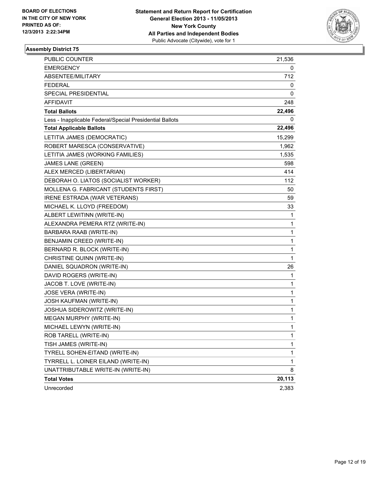

| PUBLIC COUNTER                                           | 21,536 |
|----------------------------------------------------------|--------|
| <b>EMERGENCY</b>                                         | 0      |
| ABSENTEE/MILITARY                                        | 712    |
| FEDERAL                                                  | 0      |
| SPECIAL PRESIDENTIAL                                     | 0      |
| AFFIDAVIT                                                | 248    |
| <b>Total Ballots</b>                                     | 22,496 |
| Less - Inapplicable Federal/Special Presidential Ballots | 0      |
| <b>Total Applicable Ballots</b>                          | 22,496 |
| LETITIA JAMES (DEMOCRATIC)                               | 15,299 |
| ROBERT MARESCA (CONSERVATIVE)                            | 1,962  |
| LETITIA JAMES (WORKING FAMILIES)                         | 1,535  |
| <b>JAMES LANE (GREEN)</b>                                | 598    |
| ALEX MERCED (LIBERTARIAN)                                | 414    |
| DEBORAH O. LIATOS (SOCIALIST WORKER)                     | 112    |
| MOLLENA G. FABRICANT (STUDENTS FIRST)                    | 50     |
| <b>IRENE ESTRADA (WAR VETERANS)</b>                      | 59     |
| MICHAEL K. LLOYD (FREEDOM)                               | 33     |
| ALBERT LEWITINN (WRITE-IN)                               | 1      |
| ALEXANDRA PEMERA RTZ (WRITE-IN)                          | 1      |
| BARBARA RAAB (WRITE-IN)                                  | 1      |
| BENJAMIN CREED (WRITE-IN)                                | 1      |
| BERNARD R. BLOCK (WRITE-IN)                              | 1      |
| CHRISTINE QUINN (WRITE-IN)                               | 1      |
| DANIEL SQUADRON (WRITE-IN)                               | 26     |
| DAVID ROGERS (WRITE-IN)                                  | 1      |
| JACOB T. LOVE (WRITE-IN)                                 | 1      |
| <b>JOSE VERA (WRITE-IN)</b>                              | 1      |
| <b>JOSH KAUFMAN (WRITE-IN)</b>                           | 1      |
| JOSHUA SIDEROWITZ (WRITE-IN)                             | 1      |
| MEGAN MURPHY (WRITE-IN)                                  | 1      |
| MICHAEL LEWYN (WRITE-IN)                                 | 1      |
| ROB TARELL (WRITE-IN)                                    | 1      |
| TISH JAMES (WRITE-IN)                                    | 1      |
| TYRELL SOHEN-EITAND (WRITE-IN)                           | 1      |
| TYRRELL L. LOINER EILAND (WRITE-IN)                      | 1      |
| UNATTRIBUTABLE WRITE-IN (WRITE-IN)                       | 8      |
| <b>Total Votes</b>                                       | 20,113 |
| Unrecorded                                               | 2,383  |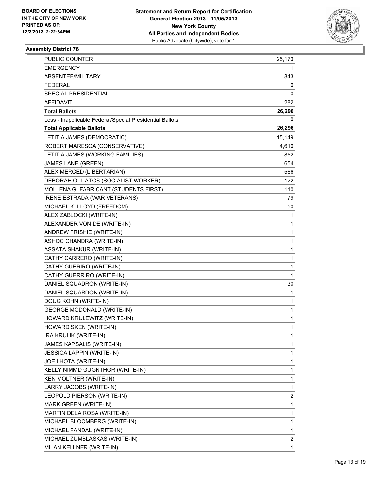

| <b>PUBLIC COUNTER</b>                                    | 25,170       |
|----------------------------------------------------------|--------------|
| <b>EMERGENCY</b>                                         | 1            |
| ABSENTEE/MILITARY                                        | 843          |
| <b>FEDERAL</b>                                           | 0            |
| SPECIAL PRESIDENTIAL                                     | 0            |
| <b>AFFIDAVIT</b>                                         | 282          |
| <b>Total Ballots</b>                                     | 26,296       |
| Less - Inapplicable Federal/Special Presidential Ballots | 0            |
| <b>Total Applicable Ballots</b>                          | 26,296       |
| LETITIA JAMES (DEMOCRATIC)                               | 15,149       |
| ROBERT MARESCA (CONSERVATIVE)                            | 4,610        |
| LETITIA JAMES (WORKING FAMILIES)                         | 852          |
| JAMES LANE (GREEN)                                       | 654          |
| ALEX MERCED (LIBERTARIAN)                                | 566          |
| DEBORAH O. LIATOS (SOCIALIST WORKER)                     | 122          |
| MOLLENA G. FABRICANT (STUDENTS FIRST)                    | 110          |
| IRENE ESTRADA (WAR VETERANS)                             | 79           |
| MICHAEL K. LLOYD (FREEDOM)                               | 50           |
| ALEX ZABLOCKI (WRITE-IN)                                 | 1            |
| ALEXANDER VON DE (WRITE-IN)                              | 1            |
| ANDREW FRISHIE (WRITE-IN)                                | 1            |
| ASHOC CHANDRA (WRITE-IN)                                 | 1            |
| <b>ASSATA SHAKUR (WRITE-IN)</b>                          | 1            |
| CATHY CARRERO (WRITE-IN)                                 | 1            |
| CATHY GUERIRO (WRITE-IN)                                 | 1            |
| CATHY GUERRIRO (WRITE-IN)                                | $\mathbf{1}$ |
| DANIEL SQUADRON (WRITE-IN)                               | 30           |
| DANIEL SQUARDON (WRITE-IN)                               | 1            |
| DOUG KOHN (WRITE-IN)                                     | 1            |
| <b>GEORGE MCDONALD (WRITE-IN)</b>                        | $\mathbf{1}$ |
| HOWARD KRULEWITZ (WRITE-IN)                              | 1            |
| HOWARD SKEN (WRITE-IN)                                   | 1            |
| IRA KRULIK (WRITE-IN)                                    | 1            |
| JAMES KAPSALIS (WRITE-IN)                                | 1            |
| <b>JESSICA LAPPIN (WRITE-IN)</b>                         | 1            |
| <b>JOE LHOTA (WRITE-IN)</b>                              | 1            |
| KELLY NIMMD GUGNTHGR (WRITE-IN)                          | 1            |
| KEN MOLTNER (WRITE-IN)                                   | 1            |
| LARRY JACOBS (WRITE-IN)                                  | 1            |
| LEOPOLD PIERSON (WRITE-IN)                               | 2            |
| <b>MARK GREEN (WRITE-IN)</b>                             | 1            |
| MARTIN DELA ROSA (WRITE-IN)                              | 1            |
| MICHAEL BLOOMBERG (WRITE-IN)                             | 1            |
| MICHAEL FANDAL (WRITE-IN)                                | 1            |
| MICHAEL ZUMBLASKAS (WRITE-IN)                            | 2            |
| MILAN KELLNER (WRITE-IN)                                 | 1            |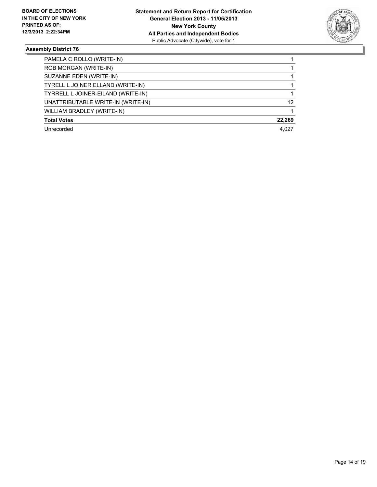

| PAMELA C ROLLO (WRITE-IN)          |        |
|------------------------------------|--------|
| ROB MORGAN (WRITE-IN)              |        |
| SUZANNE EDEN (WRITE-IN)            |        |
| TYRELL L JOINER ELLAND (WRITE-IN)  |        |
| TYRRELL L JOINER-EILAND (WRITE-IN) |        |
| UNATTRIBUTABLE WRITE-IN (WRITE-IN) | 12     |
| WILLIAM BRADLEY (WRITE-IN)         |        |
| <b>Total Votes</b>                 | 22,269 |
| Unrecorded                         | 4.027  |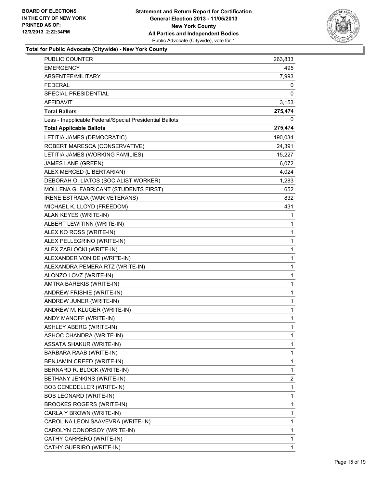

| PUBLIC COUNTER                                           | 263,833      |
|----------------------------------------------------------|--------------|
| <b>EMERGENCY</b>                                         | 495          |
| ABSENTEE/MILITARY                                        | 7,993        |
| <b>FEDERAL</b>                                           | 0            |
| SPECIAL PRESIDENTIAL                                     | 0            |
| AFFIDAVIT                                                | 3,153        |
| <b>Total Ballots</b>                                     | 275,474      |
| Less - Inapplicable Federal/Special Presidential Ballots | 0            |
| <b>Total Applicable Ballots</b>                          | 275,474      |
| LETITIA JAMES (DEMOCRATIC)                               | 190,034      |
| ROBERT MARESCA (CONSERVATIVE)                            | 24,391       |
| LETITIA JAMES (WORKING FAMILIES)                         | 15,227       |
| JAMES LANE (GREEN)                                       | 6,072        |
| ALEX MERCED (LIBERTARIAN)                                | 4,024        |
| DEBORAH O. LIATOS (SOCIALIST WORKER)                     | 1,283        |
| MOLLENA G. FABRICANT (STUDENTS FIRST)                    | 652          |
| <b>IRENE ESTRADA (WAR VETERANS)</b>                      | 832          |
| MICHAEL K. LLOYD (FREEDOM)                               | 431          |
| ALAN KEYES (WRITE-IN)                                    | 1            |
| ALBERT LEWITINN (WRITE-IN)                               | 1            |
| ALEX KO ROSS (WRITE-IN)                                  | 1            |
| ALEX PELLEGRINO (WRITE-IN)                               | 1            |
| ALEX ZABLOCKI (WRITE-IN)                                 | 1            |
| ALEXANDER VON DE (WRITE-IN)                              | 1            |
| ALEXANDRA PEMERA RTZ (WRITE-IN)                          | 1            |
| ALONZO LOVZ (WRITE-IN)                                   | 1            |
| AMTRA BAREKIS (WRITE-IN)                                 | 1            |
| ANDREW FRISHIE (WRITE-IN)                                | 1            |
| ANDREW JUNER (WRITE-IN)                                  | 1            |
| ANDREW M. KLUGER (WRITE-IN)                              | 1            |
| ANDY MANOFF (WRITE-IN)                                   | $\mathbf{1}$ |
| ASHLEY ABERG (WRITE-IN)                                  | 1            |
| ASHOC CHANDRA (WRITE-IN)                                 | 1            |
| ASSATA SHAKUR (WRITE-IN)                                 | 1            |
| BARBARA RAAB (WRITE-IN)                                  | 1            |
| BENJAMIN CREED (WRITE-IN)                                | 1            |
| BERNARD R. BLOCK (WRITE-IN)                              | 1            |
| BETHANY JENKINS (WRITE-IN)                               | 2            |
| BOB CENEDELLER (WRITE-IN)                                | 1            |
| BOB LEONARD (WRITE-IN)                                   | 1            |
| <b>BROOKES ROGERS (WRITE-IN)</b>                         | 1            |
| CARLA Y BROWN (WRITE-IN)                                 | 1            |
| CAROLINA LEON SAAVEVRA (WRITE-IN)                        | 1            |
| CAROLYN CONORSOY (WRITE-IN)                              | 1            |
| CATHY CARRERO (WRITE-IN)                                 | 1            |
| CATHY GUERIRO (WRITE-IN)                                 | 1            |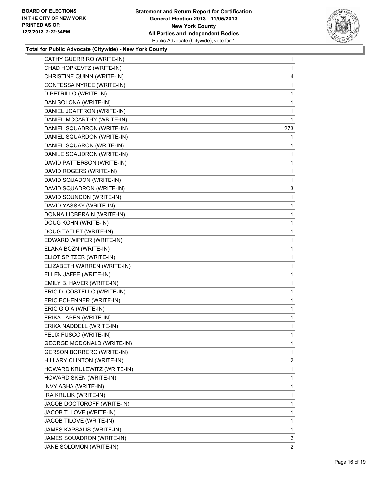

| CATHY GUERRIRO (WRITE-IN)         | 1              |
|-----------------------------------|----------------|
| CHAD HOPKEVTZ (WRITE-IN)          | 1              |
| CHRISTINE QUINN (WRITE-IN)        | 4              |
| CONTESSA NYREE (WRITE-IN)         | 1              |
| D PETRILLO (WRITE-IN)             | 1              |
| DAN SOLONA (WRITE-IN)             | 1              |
| DANIEL JQAFFRON (WRITE-IN)        | 1              |
| DANIEL MCCARTHY (WRITE-IN)        | 1              |
| DANIEL SQUADRON (WRITE-IN)        | 273            |
| DANIEL SQUARDON (WRITE-IN)        | 1              |
| DANIEL SQUARON (WRITE-IN)         | 1              |
| DANILE SQAUDRON (WRITE-IN)        | 1              |
| DAVID PATTERSON (WRITE-IN)        | 1              |
| DAVID ROGERS (WRITE-IN)           | 1              |
| DAVID SQUADON (WRITE-IN)          | 1              |
| DAVID SQUADRON (WRITE-IN)         | 3              |
| DAVID SQUNDON (WRITE-IN)          | 1              |
| DAVID YASSKY (WRITE-IN)           | 1              |
| DONNA LICBERAIN (WRITE-IN)        | 1              |
| DOUG KOHN (WRITE-IN)              | 1              |
| DOUG TATLET (WRITE-IN)            | 1              |
| EDWARD WIPPER (WRITE-IN)          | 1              |
| ELANA BOZN (WRITE-IN)             | 1              |
| ELIOT SPITZER (WRITE-IN)          | 1              |
| ELIZABETH WARREN (WRITE-IN)       | 1              |
| ELLEN JAFFE (WRITE-IN)            | 1              |
| EMILY B. HAVER (WRITE-IN)         | 1              |
| ERIC D. COSTELLO (WRITE-IN)       | 1              |
| ERIC ECHENNER (WRITE-IN)          | 1              |
| ERIC GIOIA (WRITE-IN)             | 1              |
| ERIKA LAPEN (WRITE-IN)            | 1              |
| ERIKA NADDELL (WRITE-IN)          | 1              |
| FELIX FUSCO (WRITE-IN)            | 1              |
| <b>GEORGE MCDONALD (WRITE-IN)</b> | 1              |
| GERSON BORRERO (WRITE-IN)         | 1              |
| HILLARY CLINTON (WRITE-IN)        | 2              |
| HOWARD KRULEWITZ (WRITE-IN)       | 1              |
| HOWARD SKEN (WRITE-IN)            | 1              |
| INVY ASHA (WRITE-IN)              | 1              |
| IRA KRULIK (WRITE-IN)             | 1              |
| JACOB DOCTOROFF (WRITE-IN)        | 1              |
| JACOB T. LOVE (WRITE-IN)          | 1              |
| JACOB TILOVE (WRITE-IN)           | 1              |
| JAMES KAPSALIS (WRITE-IN)         | 1              |
| JAMES SQUADRON (WRITE-IN)         | 2              |
| JANE SOLOMON (WRITE-IN)           | $\overline{2}$ |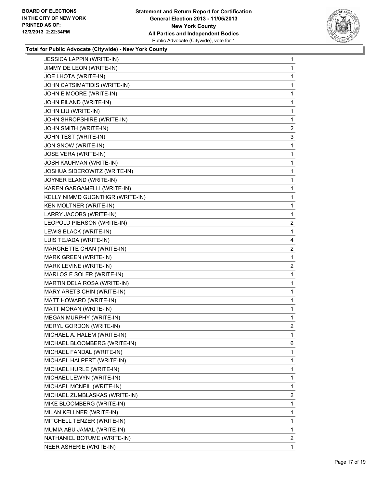

| <b>JESSICA LAPPIN (WRITE-IN)</b> | 1              |
|----------------------------------|----------------|
| JIMMY DE LEON (WRITE-IN)         | 1              |
| JOE LHOTA (WRITE-IN)             | 1              |
| JOHN CATSIMATIDIS (WRITE-IN)     | 1              |
| JOHN E MOORE (WRITE-IN)          | 1              |
| JOHN EILAND (WRITE-IN)           | 1              |
| JOHN LIU (WRITE-IN)              | 1              |
| JOHN SHROPSHIRE (WRITE-IN)       | 1              |
| JOHN SMITH (WRITE-IN)            | 2              |
| JOHN TEST (WRITE-IN)             | 3              |
| JON SNOW (WRITE-IN)              | 1              |
| <b>JOSE VERA (WRITE-IN)</b>      | 1              |
| JOSH KAUFMAN (WRITE-IN)          | 1              |
| JOSHUA SIDEROWITZ (WRITE-IN)     | 1              |
| JOYNER ELAND (WRITE-IN)          | 1              |
| KAREN GARGAMELLI (WRITE-IN)      | 1              |
| KELLY NIMMD GUGNTHGR (WRITE-IN)  | 1              |
| KEN MOLTNER (WRITE-IN)           | 1              |
| LARRY JACOBS (WRITE-IN)          | 1              |
| LEOPOLD PIERSON (WRITE-IN)       | 2              |
| LEWIS BLACK (WRITE-IN)           | 1              |
| LUIS TEJADA (WRITE-IN)           | 4              |
| MARGRETTE CHAN (WRITE-IN)        | $\overline{2}$ |
| MARK GREEN (WRITE-IN)            | 1              |
| MARK LEVINE (WRITE-IN)           | $\overline{2}$ |
| MARLOS E SOLER (WRITE-IN)        | 1              |
| MARTIN DELA ROSA (WRITE-IN)      | 1              |
| MARY ARETS CHIN (WRITE-IN)       | 1              |
| MATT HOWARD (WRITE-IN)           | 1              |
| MATT MORAN (WRITE-IN)            | 1              |
| MEGAN MURPHY (WRITE-IN)          | 1              |
| <b>MERYL GORDON (WRITE-IN)</b>   | $\overline{2}$ |
| MICHAEL A. HALEM (WRITE-IN)      | 1              |
| MICHAEL BLOOMBERG (WRITE-IN)     | 6              |
| MICHAEL FANDAL (WRITE-IN)        | 1              |
| MICHAEL HALPERT (WRITE-IN)       | 1              |
| MICHAEL HURLE (WRITE-IN)         | 1              |
| MICHAEL LEWYN (WRITE-IN)         | 1              |
| MICHAEL MCNEIL (WRITE-IN)        | 1              |
| MICHAEL ZUMBLASKAS (WRITE-IN)    | $\overline{2}$ |
| MIKE BLOOMBERG (WRITE-IN)        | 1              |
| MILAN KELLNER (WRITE-IN)         | 1              |
| MITCHELL TENZER (WRITE-IN)       | 1              |
| MUMIA ABU JAMAL (WRITE-IN)       | 1              |
| NATHANIEL BOTUME (WRITE-IN)      | $\overline{2}$ |
| NEER ASHERIE (WRITE-IN)          | 1              |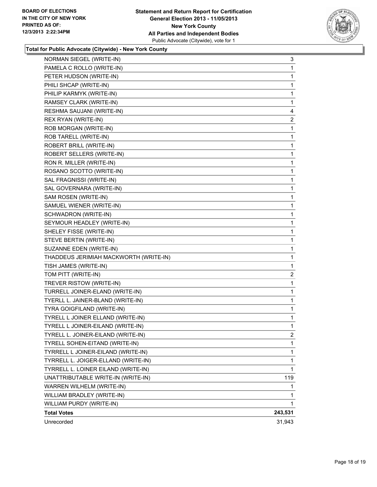

| NORMAN SIEGEL (WRITE-IN)               | 3            |
|----------------------------------------|--------------|
| PAMELA C ROLLO (WRITE-IN)              | 1            |
| PETER HUDSON (WRITE-IN)                | 1            |
| PHILI SHCAP (WRITE-IN)                 | 1            |
| PHILIP KARMYK (WRITE-IN)               | 1            |
| RAMSEY CLARK (WRITE-IN)                | 1            |
| RESHMA SAUJANI (WRITE-IN)              | 4            |
| REX RYAN (WRITE-IN)                    | $\mathbf{2}$ |
| ROB MORGAN (WRITE-IN)                  | 1            |
| ROB TARELL (WRITE-IN)                  | 1            |
| ROBERT BRILL (WRITE-IN)                | 1            |
| ROBERT SELLERS (WRITE-IN)              | 1            |
| RON R. MILLER (WRITE-IN)               | 1            |
| ROSANO SCOTTO (WRITE-IN)               | 1            |
| SAL FRAGNISSI (WRITE-IN)               | 1            |
| SAL GOVERNARA (WRITE-IN)               | 1            |
| SAM ROSEN (WRITE-IN)                   | 1            |
| SAMUEL WIENER (WRITE-IN)               | 1            |
| SCHWADRON (WRITE-IN)                   | 1            |
| SEYMOUR HEADLEY (WRITE-IN)             | 1            |
| SHELEY FISSE (WRITE-IN)                | 1            |
| STEVE BERTIN (WRITE-IN)                | 1            |
| SUZANNE EDEN (WRITE-IN)                | 1            |
| THADDEUS JERIMIAH MACKWORTH (WRITE-IN) | 1            |
| TISH JAMES (WRITE-IN)                  | 1            |
| TOM PITT (WRITE-IN)                    | 2            |
| TREVER RISTOW (WRITE-IN)               | 1            |
| TURRELL JOINER-ELAND (WRITE-IN)        | 1            |
| TYERLL L. JAINER-BLAND (WRITE-IN)      | 1            |
| TYRA GOIGFILAND (WRITE-IN)             | 1            |
| TYRELL L JOINER ELLAND (WRITE-IN)      | 1            |
| TYRELL L JOINER-EILAND (WRITE-IN)      | 1            |
| TYRELL L. JOINER-EILAND (WRITE-IN)     | 2            |
| TYRELL SOHEN-EITAND (WRITE-IN)         | 1            |
| TYRRELL L JOINER-EILAND (WRITE-IN)     | 1            |
| TYRRELL L. JOIGER-ELLAND (WRITE-IN)    | 1            |
| TYRRELL L. LOINER EILAND (WRITE-IN)    | 1            |
| UNATTRIBUTABLE WRITE-IN (WRITE-IN)     | 119          |
| WARREN WILHELM (WRITE-IN)              | 1            |
| WILLIAM BRADLEY (WRITE-IN)             | 1            |
| WILLIAM PURDY (WRITE-IN)               | 1.           |
| <b>Total Votes</b>                     | 243,531      |
| Unrecorded                             | 31,943       |